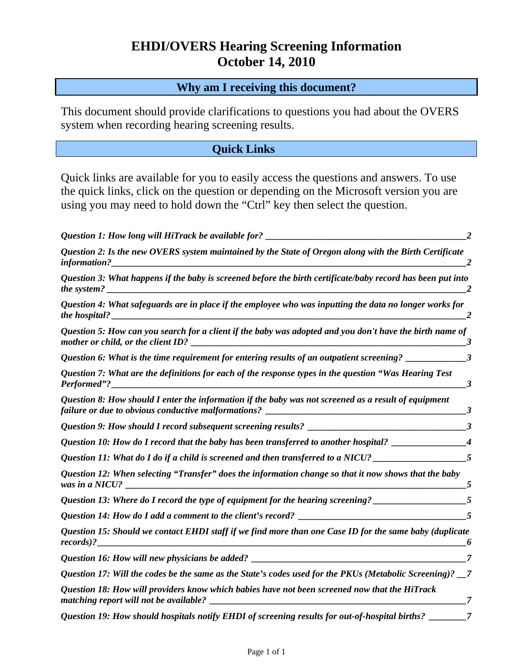# **EHDI/OVERS Hearing Screening Information October 14, 2010**

#### **Why am I receiving this document?**

This document should provide clarifications to questions you had about the OVERS system when recording hearing screening results.

#### **Quick Links**

Quick links are available for you to easily access the questions and answers. To use the quick links, click on the question or depending on the Microsoft version you are using you may need to hold down the "Ctrl" key then select the question.

| Question 1: How long will HiTrack be available for? ____________________________                                                                                                                                                                                       |                        |
|------------------------------------------------------------------------------------------------------------------------------------------------------------------------------------------------------------------------------------------------------------------------|------------------------|
| Question 2: Is the new OVERS system maintained by the State of Oregon along with the Birth Certificate<br>information?                                                                                                                                                 |                        |
| Question 3: What happens if the baby is screened before the birth certificate/baby record has been put into<br>the system?                                                                                                                                             |                        |
| Question 4: What safeguards are in place if the employee who was inputting the data no longer works for<br>the hospital?                                                                                                                                               |                        |
| Question 5: How can you search for a client if the baby was adopted and you don't have the birth name of<br>mother or child, or the client ID?<br><u> 2000 - Jan Jan James, margaret amerikan basar dan basa dan basa dan basa dan basa dan basa dan basa dan basa</u> | 3                      |
| Question 6: What is the time requirement for entering results of an outpatient screening? _________                                                                                                                                                                    | $\mathbf{3}$           |
| Question 7: What are the definitions for each of the response types in the question "Was Hearing Test<br>Performed"?<br><u> 2000 - Jan Barnett, fransk politiker (d. 1982)</u>                                                                                         | 3                      |
| Question 8: How should I enter the information if the baby was not screened as a result of equipment                                                                                                                                                                   | 3                      |
|                                                                                                                                                                                                                                                                        |                        |
| Question 10: How do I record that the baby has been transferred to another hospital?                                                                                                                                                                                   | $\boldsymbol{\Lambda}$ |
| Question 11: What do I do if a child is screened and then transferred to a NICU? __________________                                                                                                                                                                    | $\overline{5}$         |
| Question 12: When selecting "Transfer" does the information change so that it now shows that the baby<br>was in a NICU?                                                                                                                                                |                        |
| Question 13: Where do I record the type of equipment for the hearing screening?                                                                                                                                                                                        |                        |
|                                                                                                                                                                                                                                                                        |                        |
| Question 15: Should we contact EHDI staff if we find more than one Case ID for the same baby (duplicate<br>records)?                                                                                                                                                   |                        |
|                                                                                                                                                                                                                                                                        |                        |
| Question 17: Will the codes be the same as the State's codes used for the PKUs (Metabolic Screening)? _7                                                                                                                                                               |                        |
| Question 18: How will providers know which babies have not been screened now that the HiTrack<br>matching report will not be available? _                                                                                                                              |                        |
| Question 19: How should hospitals notify EHDI of screening results for out-of-hospital births?                                                                                                                                                                         |                        |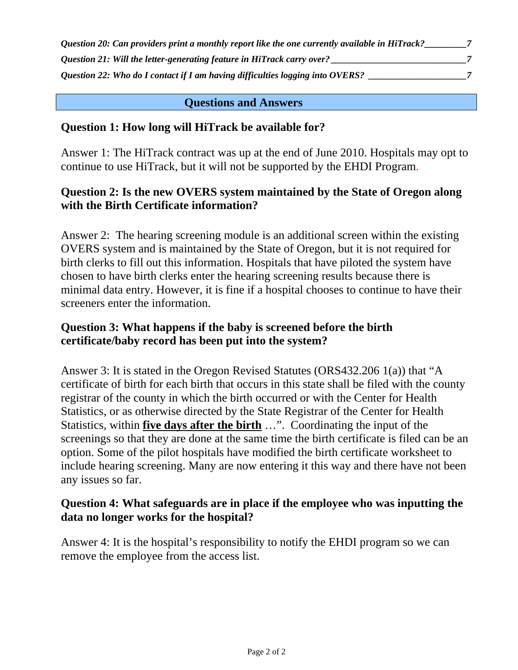<span id="page-1-0"></span>

| Question 20: Can providers print a monthly report like the one currently available in HiTrack? |  |
|------------------------------------------------------------------------------------------------|--|
| Question 21: Will the letter-generating feature in HiTrack carry over?                         |  |
| Question 22: Who do I contact if I am having difficulties logging into OVERS?                  |  |

#### **Questions and Answers**

#### **Question 1: How long will HiTrack be available for?**

Answer 1: The HiTrack contract was up at the end of June 2010. Hospitals may opt to continue to use HiTrack, but it will not be supported by the EHDI Program.

#### **Question 2: Is the new OVERS system maintained by the State of Oregon along with the Birth Certificate information?**

Answer 2: The hearing screening module is an additional screen within the existing OVERS system and is maintained by the State of Oregon, but it is not required for birth clerks to fill out this information. Hospitals that have piloted the system have chosen to have birth clerks enter the hearing screening results because there is minimal data entry. However, it is fine if a hospital chooses to continue to have their screeners enter the information.

#### **Question 3: What happens if the baby is screened before the birth certificate/baby record has been put into the system?**

Answer 3: It is stated in the Oregon Revised Statutes (ORS432.206 1(a)) that "A certificate of birth for each birth that occurs in this state shall be filed with the county registrar of the county in which the birth occurred or with the Center for Health Statistics, or as otherwise directed by the State Registrar of the Center for Health Statistics, within **five days after the birth** …". Coordinating the input of the screenings so that they are done at the same time the birth certificate is filed can be an option. Some of the pilot hospitals have modified the birth certificate worksheet to include hearing screening. Many are now entering it this way and there have not been any issues so far.

#### **Question 4: What safeguards are in place if the employee who was inputting the data no longer works for the hospital?**

Answer 4: It is the hospital's responsibility to notify the EHDI program so we can remove the employee from the access list.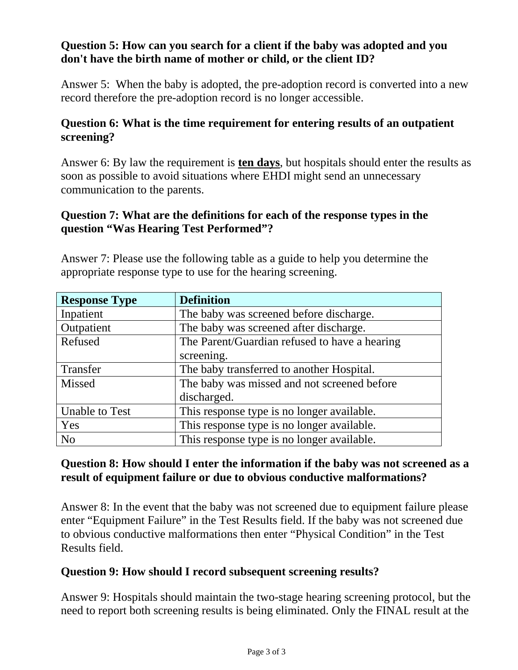## <span id="page-2-0"></span>**Question 5: How can you search for a client if the baby was adopted and you don't have the birth name of mother or child, or the client ID?**

Answer 5: When the baby is adopted, the pre-adoption record is converted into a new record therefore the pre-adoption record is no longer accessible.

### **Question 6: What is the time requirement for entering results of an outpatient screening?**

Answer 6: By law the requirement is **ten days**, but hospitals should enter the results as soon as possible to avoid situations where EHDI might send an unnecessary communication to the parents.

### **Question 7: What are the definitions for each of the response types in the question "Was Hearing Test Performed"?**

Answer 7: Please use the following table as a guide to help you determine the appropriate response type to use for the hearing screening.

| <b>Response Type</b>  | <b>Definition</b>                             |
|-----------------------|-----------------------------------------------|
| Inpatient             | The baby was screened before discharge.       |
| Outpatient            | The baby was screened after discharge.        |
| Refused               | The Parent/Guardian refused to have a hearing |
|                       | screening.                                    |
| Transfer              | The baby transferred to another Hospital.     |
| Missed                | The baby was missed and not screened before   |
|                       | discharged.                                   |
| <b>Unable to Test</b> | This response type is no longer available.    |
| Yes                   | This response type is no longer available.    |
| N <sub>o</sub>        | This response type is no longer available.    |

### **Question 8: How should I enter the information if the baby was not screened as a result of equipment failure or due to obvious conductive malformations?**

Answer 8: In the event that the baby was not screened due to equipment failure please enter "Equipment Failure" in the Test Results field. If the baby was not screened due to obvious conductive malformations then enter "Physical Condition" in the Test Results field.

#### **Question 9: How should I record subsequent screening results?**

Answer 9: Hospitals should maintain the two-stage hearing screening protocol, but the need to report both screening results is being eliminated. Only the FINAL result at the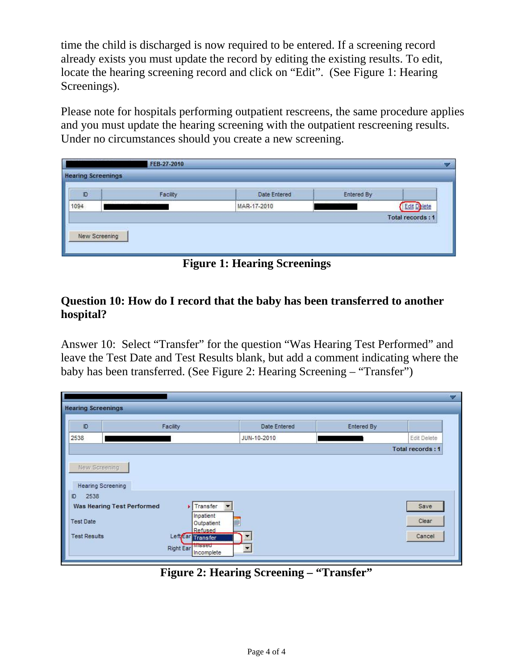<span id="page-3-0"></span>time the child is discharged is now required to be entered. If a screening record already exists you must update the record by editing the existing results. To edit, locate the hearing screening record and click on "Edit". (See Figure 1: Hearing Screenings).

Please note for hospitals performing outpatient rescreens, the same procedure applies and you must update the hearing screening with the outpatient rescreening results. Under no circumstances should you create a new screening.

| D    | Facility                       | Date Entered | <b>Entered By</b>         |                    |
|------|--------------------------------|--------------|---------------------------|--------------------|
| 1094 | iki sakin pamana kuwa kata mwa | MAR-17-2010  | <b>STATES CONSUMING A</b> | <b>Edit Delete</b> |
|      |                                |              |                           | Total records: 1   |

**Figure 1: Hearing Screenings** 

## **Question 10: How do I record that the baby has been transferred to another hospital?**

Answer 10: Select "Transfer" for the question "Was Hearing Test Performed" and leave the Test Date and Test Results blank, but add a comment indicating where the baby has been transferred. (See Figure 2: Hearing Screening – "Transfer")

| JUN-10-2010<br>New Screening<br><b>Hearing Screening</b><br>2538<br><b>F</b> Transfer<br>Save<br>Inpatient<br>Clear<br>■<br>Outpatient | $\mathsf{ID}$       | Facility          | Date Entered | Entered By |                  |
|----------------------------------------------------------------------------------------------------------------------------------------|---------------------|-------------------|--------------|------------|------------------|
|                                                                                                                                        | 2538                |                   |              |            | Edit Delete      |
| Was Hearing Test Performed                                                                                                             |                     |                   |              |            | Total records: 1 |
|                                                                                                                                        |                     |                   |              |            |                  |
|                                                                                                                                        |                     |                   |              |            |                  |
|                                                                                                                                        | D                   |                   |              |            |                  |
|                                                                                                                                        |                     |                   |              |            |                  |
|                                                                                                                                        |                     |                   |              |            |                  |
|                                                                                                                                        | <b>Test Date</b>    | <b>Refused</b>    |              |            |                  |
|                                                                                                                                        | <b>Test Results</b> | Left Ear Transfer |              |            | Cancel           |

**Figure 2: Hearing Screening – "Transfer"**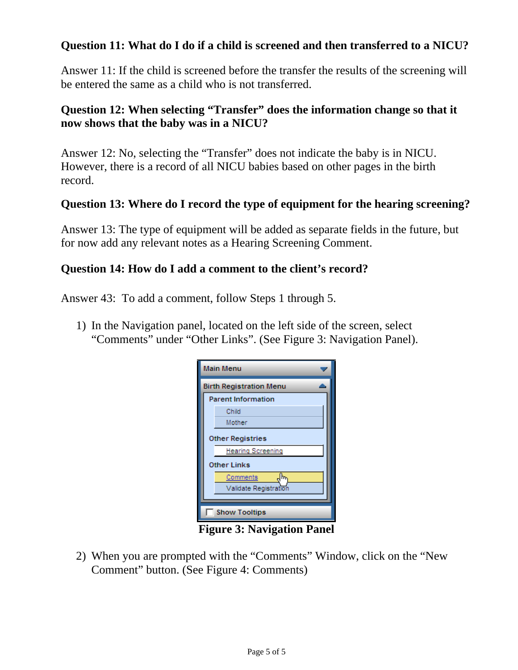## <span id="page-4-0"></span>**Question 11: What do I do if a child is screened and then transferred to a NICU?**

Answer 11: If the child is screened before the transfer the results of the screening will be entered the same as a child who is not transferred.

# **Question 12: When selecting "Transfer" does the information change so that it now shows that the baby was in a NICU?**

Answer 12: No, selecting the "Transfer" does not indicate the baby is in NICU. However, there is a record of all NICU babies based on other pages in the birth record.

#### **Question 13: Where do I record the type of equipment for the hearing screening?**

Answer 13: The type of equipment will be added as separate fields in the future, but for now add any relevant notes as a Hearing Screening Comment.

#### **Question 14: How do I add a comment to the client's record?**

Answer 43: To add a comment, follow Steps 1 through 5.

1) In the Navigation panel, located on the left side of the screen, select "Comments" under "Other Links". (See Figure 3: Navigation Panel).

| <b>Main Menu</b>               |  |
|--------------------------------|--|
| <b>Birth Registration Menu</b> |  |
| <b>Parent Information</b>      |  |
| Child                          |  |
| Mother                         |  |
| <b>Other Registries</b>        |  |
| <b>Hearing Screening</b>       |  |
| <b>Other Links</b>             |  |
| Comments<br>h.                 |  |
| Validate Registration          |  |
|                                |  |
| <b>Show Tooltips</b>           |  |

**Figure 3: Navigation Panel**

2) When you are prompted with the "Comments" Window, click on the "New Comment" button. (See Figure 4: Comments)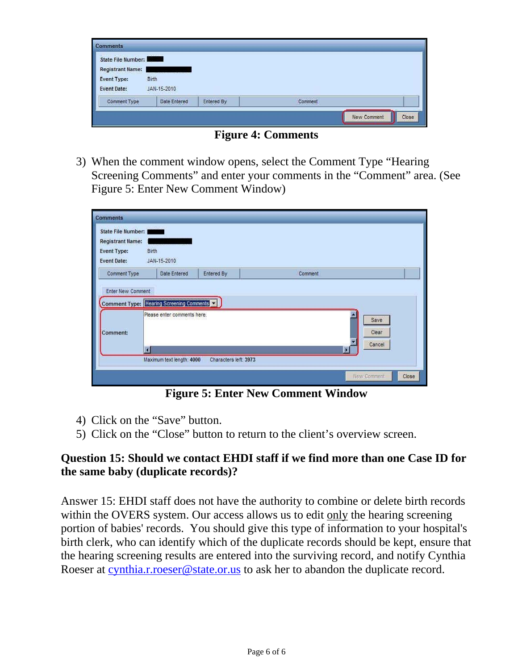<span id="page-5-0"></span>

| State File Number:      | <b>ENGINEERING</b>                                                          |  |  |
|-------------------------|-----------------------------------------------------------------------------|--|--|
| <b>Registrant Name:</b> | <u>.</u><br>De la maria de la contrada de la<br><b>CARD IN THE STATE OF</b> |  |  |
| Event Type:             | Birth                                                                       |  |  |
|                         |                                                                             |  |  |
| <b>Event Date:</b>      | JAN-15-2010                                                                 |  |  |

**Figure 4: Comments** 

3) When the comment window opens, select the Comment Type "Hearing Screening Comments" and enter your comments in the "Comment" area. (See Figure 5: Enter New Comment Window)

| <b>Comments</b>                                                                    |                                                                         |                       |         |               |
|------------------------------------------------------------------------------------|-------------------------------------------------------------------------|-----------------------|---------|---------------|
| State File Number:<br><b>Registrant Name:</b><br>Event Type:<br><b>Event Date:</b> | En 1222 de la model<br>Birth<br>JAN-15-2010                             |                       |         |               |
| Comment Type                                                                       | Date Entered                                                            | Entered By            | Comment |               |
|                                                                                    | Comment Type: Hearing Screening Comments<br>Please enter comments here. |                       |         |               |
| Comment:                                                                           |                                                                         |                       |         | Save<br>Clear |
|                                                                                    | a                                                                       |                       | IB      | Cancel        |
|                                                                                    | Maximum text length: 4000                                               | Characters left: 3973 |         |               |

**Figure 5: Enter New Comment Window**

- 4) Click on the "Save" button.
- 5) Click on the "Close" button to return to the client's overview screen.

### **Question 15: Should we contact EHDI staff if we find more than one Case ID for the same baby (duplicate records)?**

Answer 15: EHDI staff does not have the authority to combine or delete birth records within the OVERS system. Our access allows us to edit only the hearing screening portion of babies' records. You should give this type of information to your hospital's birth clerk, who can identify which of the duplicate records should be kept, ensure that the hearing screening results are entered into the surviving record, and notify Cynthia Roeser at [cynthia.r.roeser@state.or.us](mailto:cynthia.r.roeser@state.or.us) to ask her to abandon the duplicate record.